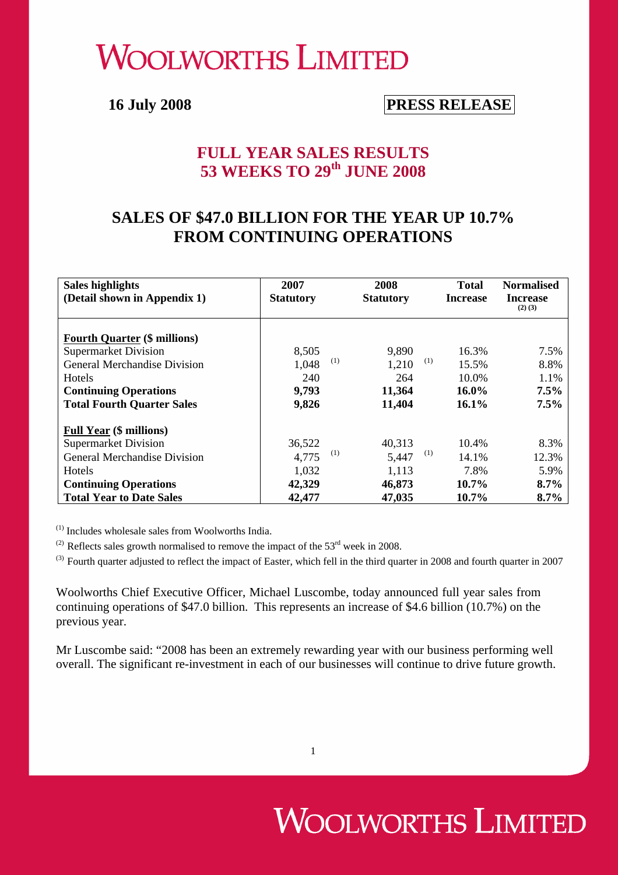# **WOOLWORTHS LIMITED**

# **16 July 2008 PRESS RELEASE**

### **FULL YEAR SALES RESULTS 53 WEEKS TO 29th JUNE 2008**

# **SALES OF \$47.0 BILLION FOR THE YEAR UP 10.7% FROM CONTINUING OPERATIONS**

| Sales highlights                    | 2007             | 2008             | <b>Total</b>    | <b>Normalised</b>              |
|-------------------------------------|------------------|------------------|-----------------|--------------------------------|
| (Detail shown in Appendix 1)        | <b>Statutory</b> | <b>Statutory</b> | <b>Increase</b> | <b>Increase</b><br>$(2)$ $(3)$ |
|                                     |                  |                  |                 |                                |
| <b>Fourth Quarter (\$ millions)</b> |                  |                  |                 |                                |
| <b>Supermarket Division</b>         | 8,505            | 9,890            | 16.3%           | 7.5%                           |
| <b>General Merchandise Division</b> | 1,048            | (1)<br>1,210     | (1)<br>15.5%    | 8.8%                           |
| Hotels                              | 240              | 264              | 10.0%           | 1.1%                           |
| <b>Continuing Operations</b>        | 9,793            | 11,364           | 16.0%           | 7.5%                           |
| <b>Total Fourth Quarter Sales</b>   | 9,826            | 11,404           | $16.1\%$        | 7.5%                           |
| <b>Full Year (\$ millions)</b>      |                  |                  |                 |                                |
| <b>Supermarket Division</b>         | 36,522           | 40.313           | 10.4%           | 8.3%                           |
| <b>General Merchandise Division</b> | 4.775            | (1)<br>5,447     | (1)<br>14.1%    | 12.3%                          |
| <b>Hotels</b>                       | 1,032            | 1,113            | 7.8%            | 5.9%                           |
| <b>Continuing Operations</b>        | 42,329           | 46,873           | 10.7%           | 8.7%                           |
| <b>Total Year to Date Sales</b>     | 42,477           | 47,035           | 10.7%           | 8.7%                           |

(1) Includes wholesale sales from Woolworths India.

(2) Reflects sales growth normalised to remove the impact of the  $53<sup>rd</sup>$  week in 2008.

 $^{(3)}$  Fourth quarter adjusted to reflect the impact of Easter, which fell in the third quarter in 2008 and fourth quarter in 2007

Woolworths Chief Executive Officer, Michael Luscombe, today announced full year sales from continuing operations of \$47.0 billion. This represents an increase of \$4.6 billion (10.7%) on the previous year.

Mr Luscombe said: "2008 has been an extremely rewarding year with our business performing well overall. The significant re-investment in each of our businesses will continue to drive future growth.

# **WOOLWORTHS LIMITED**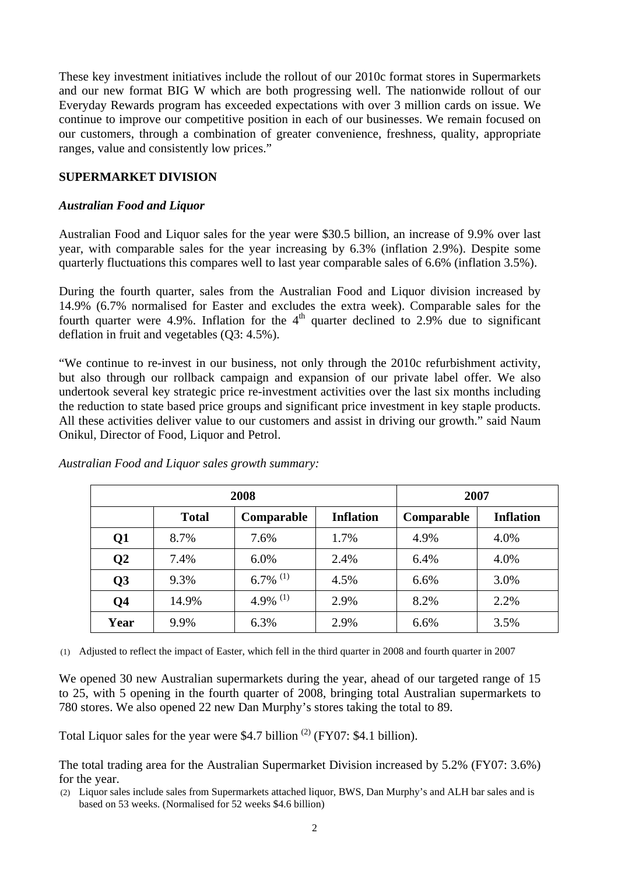These key investment initiatives include the rollout of our 2010c format stores in Supermarkets and our new format BIG W which are both progressing well. The nationwide rollout of our Everyday Rewards program has exceeded expectations with over 3 million cards on issue. We continue to improve our competitive position in each of our businesses. We remain focused on our customers, through a combination of greater convenience, freshness, quality, appropriate ranges, value and consistently low prices."

#### **SUPERMARKET DIVISION**

#### *Australian Food and Liquor*

Australian Food and Liquor sales for the year were \$30.5 billion, an increase of 9.9% over last year, with comparable sales for the year increasing by 6.3% (inflation 2.9%). Despite some quarterly fluctuations this compares well to last year comparable sales of 6.6% (inflation 3.5%).

During the fourth quarter, sales from the Australian Food and Liquor division increased by 14.9% (6.7% normalised for Easter and excludes the extra week). Comparable sales for the fourth quarter were 4.9%. Inflation for the  $4<sup>th</sup>$  quarter declined to 2.9% due to significant deflation in fruit and vegetables (Q3: 4.5%).

"We continue to re-invest in our business, not only through the 2010c refurbishment activity, but also through our rollback campaign and expansion of our private label offer. We also undertook several key strategic price re-investment activities over the last six months including the reduction to state based price groups and significant price investment in key staple products. All these activities deliver value to our customers and assist in driving our growth." said Naum Onikul, Director of Food, Liquor and Petrol.

| 2008            |                                                |                        | 2007       |                  |      |
|-----------------|------------------------------------------------|------------------------|------------|------------------|------|
|                 | <b>Total</b><br>Comparable<br><b>Inflation</b> |                        | Comparable | <b>Inflation</b> |      |
| Q1              | 8.7%                                           | 7.6%                   | 1.7%       | 4.9%             | 4.0% |
| $\overline{Q2}$ | 7.4%                                           | 6.0%                   | 2.4%       | 6.4%             | 4.0% |
| Q <sub>3</sub>  | 9.3%                                           | $6.7\%$ <sup>(1)</sup> | 4.5%       | 6.6%             | 3.0% |
| Q <sub>4</sub>  | 14.9%                                          | 4.9% $^{(1)}$          | 2.9%       | 8.2%             | 2.2% |
| Year            | 9.9%                                           | 6.3%                   | 2.9%       | 6.6%             | 3.5% |

*Australian Food and Liquor sales growth summary:* 

(1) Adjusted to reflect the impact of Easter, which fell in the third quarter in 2008 and fourth quarter in 2007

We opened 30 new Australian supermarkets during the year, ahead of our targeted range of 15 to 25, with 5 opening in the fourth quarter of 2008, bringing total Australian supermarkets to 780 stores. We also opened 22 new Dan Murphy's stores taking the total to 89.

Total Liquor sales for the year were \$4.7 billion  $^{(2)}$  (FY07: \$4.1 billion).

The total trading area for the Australian Supermarket Division increased by 5.2% (FY07: 3.6%) for the year.

(2) Liquor sales include sales from Supermarkets attached liquor, BWS, Dan Murphy's and ALH bar sales and is based on 53 weeks. (Normalised for 52 weeks \$4.6 billion)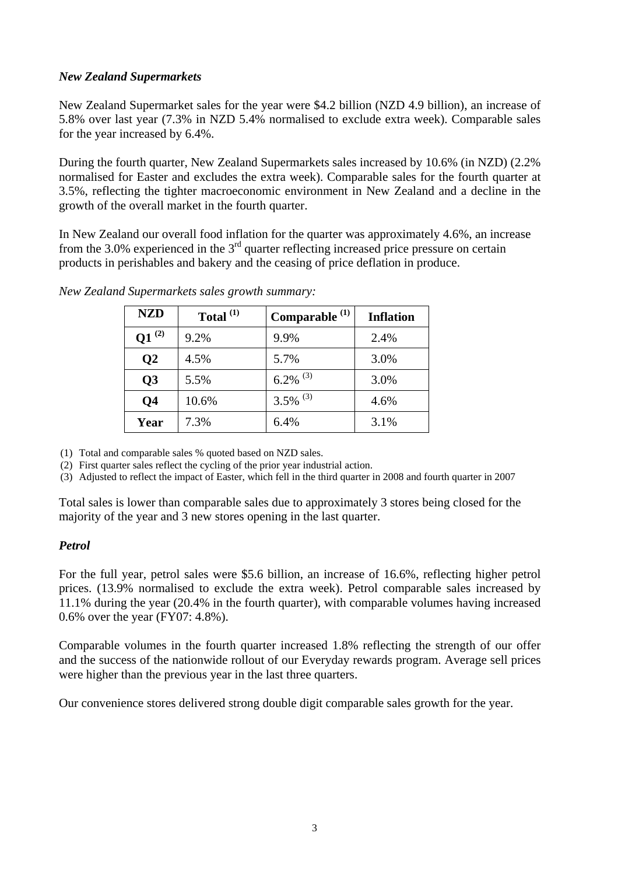#### *New Zealand Supermarkets*

New Zealand Supermarket sales for the year were \$4.2 billion (NZD 4.9 billion), an increase of 5.8% over last year (7.3% in NZD 5.4% normalised to exclude extra week). Comparable sales for the year increased by 6.4%.

During the fourth quarter, New Zealand Supermarkets sales increased by 10.6% (in NZD) (2.2% normalised for Easter and excludes the extra week). Comparable sales for the fourth quarter at 3.5%, reflecting the tighter macroeconomic environment in New Zealand and a decline in the growth of the overall market in the fourth quarter.

In New Zealand our overall food inflation for the quarter was approximately 4.6%, an increase from the 3.0% experienced in the  $3<sup>rd</sup>$  quarter reflecting increased price pressure on certain products in perishables and bakery and the ceasing of price deflation in produce.

| <b>NZD</b>            | Total $^{(1)}$ | Comparable <sup>(1)</sup> | <b>Inflation</b> |
|-----------------------|----------------|---------------------------|------------------|
| (2)<br>$\mathbf{Q}$ 1 | 9.2%           | 9.9%                      | 2.4%             |
| $\overline{Q}2$       | 4.5%           | 5.7%                      | 3.0%             |
| Q <sub>3</sub>        | 5.5%           | $6.2\%$ <sup>(3)</sup>    | 3.0%             |
| Q4                    | 10.6%          | $3.5\%$ <sup>(3)</sup>    | 4.6%             |
| Year                  | 7.3%           | 6.4%                      | 3.1%             |

*New Zealand Supermarkets sales growth summary:*

(1) Total and comparable sales % quoted based on NZD sales.

(2) First quarter sales reflect the cycling of the prior year industrial action.

(3) Adjusted to reflect the impact of Easter, which fell in the third quarter in 2008 and fourth quarter in 2007

Total sales is lower than comparable sales due to approximately 3 stores being closed for the majority of the year and 3 new stores opening in the last quarter.

#### *Petrol*

For the full year, petrol sales were \$5.6 billion, an increase of 16.6%, reflecting higher petrol prices. (13.9% normalised to exclude the extra week). Petrol comparable sales increased by 11.1% during the year (20.4% in the fourth quarter), with comparable volumes having increased 0.6% over the year (FY07: 4.8%).

Comparable volumes in the fourth quarter increased 1.8% reflecting the strength of our offer and the success of the nationwide rollout of our Everyday rewards program. Average sell prices were higher than the previous year in the last three quarters.

Our convenience stores delivered strong double digit comparable sales growth for the year.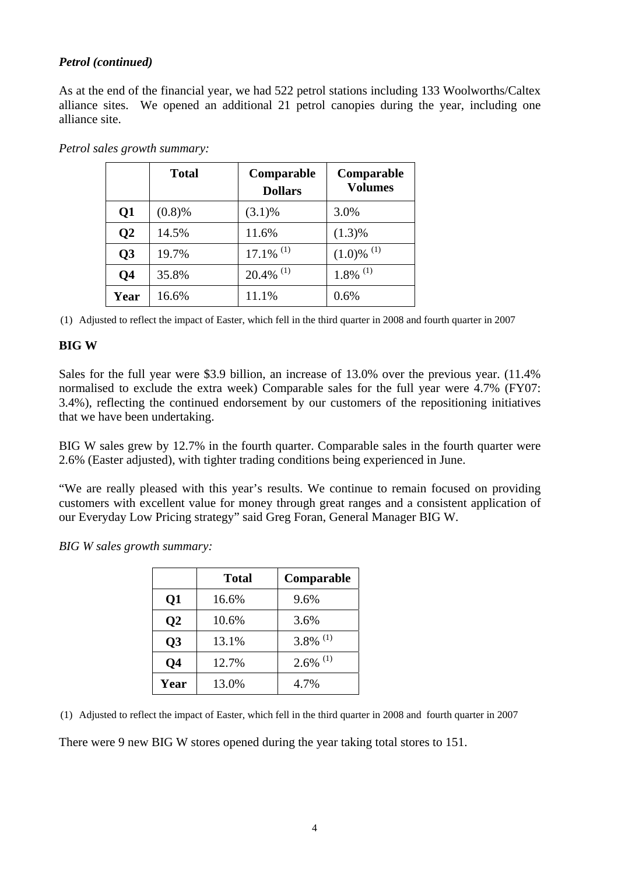### *Petrol (continued)*

As at the end of the financial year, we had 522 petrol stations including 133 Woolworths/Caltex alliance sites. We opened an additional 21 petrol canopies during the year, including one alliance site.

|                         | <b>Total</b> | Comparable<br><b>Dollars</b> | Comparable<br><b>Volumes</b> |
|-------------------------|--------------|------------------------------|------------------------------|
| $\overline{\text{Q}}$ 1 | (0.8)%       | $(3.1)\%$                    | 3.0%                         |
| Q <sub>2</sub>          | 14.5%        | 11.6%                        | $(1.3)\%$                    |
| Q <sub>3</sub>          | 19.7%        | $17.1\%$ <sup>(1)</sup>      | $(1.0)$ % $^{(1)}$           |
| Q4                      | 35.8%        | $20.4\%$ <sup>(1)</sup>      | $1.8\%$ <sup>(1)</sup>       |
| Year                    | 16.6%        | 11.1%                        | 0.6%                         |

*Petrol sales growth summary:* 

(1) Adjusted to reflect the impact of Easter, which fell in the third quarter in 2008 and fourth quarter in 2007

#### **BIG W**

Sales for the full year were \$3.9 billion, an increase of 13.0% over the previous year. (11.4%) normalised to exclude the extra week) Comparable sales for the full year were 4.7% (FY07: 3.4%), reflecting the continued endorsement by our customers of the repositioning initiatives that we have been undertaking.

BIG W sales grew by 12.7% in the fourth quarter. Comparable sales in the fourth quarter were 2.6% (Easter adjusted), with tighter trading conditions being experienced in June.

"We are really pleased with this year's results. We continue to remain focused on providing customers with excellent value for money through great ranges and a consistent application of our Everyday Low Pricing strategy" said Greg Foran, General Manager BIG W.

*BIG W sales growth summary:* 

|                 | Total | Comparable             |
|-----------------|-------|------------------------|
| $\overline{Q1}$ | 16.6% | 9.6%                   |
| $\overline{Q2}$ | 10.6% | 3.6%                   |
| Q <sub>3</sub>  | 13.1% | $3.8\%$ <sup>(1)</sup> |
| Q <sub>4</sub>  | 12.7% | $2.6\%$ <sup>(1)</sup> |
| Year            | 13.0% | 4.7%                   |

(1) Adjusted to reflect the impact of Easter, which fell in the third quarter in 2008 and fourth quarter in 2007

There were 9 new BIG W stores opened during the year taking total stores to 151.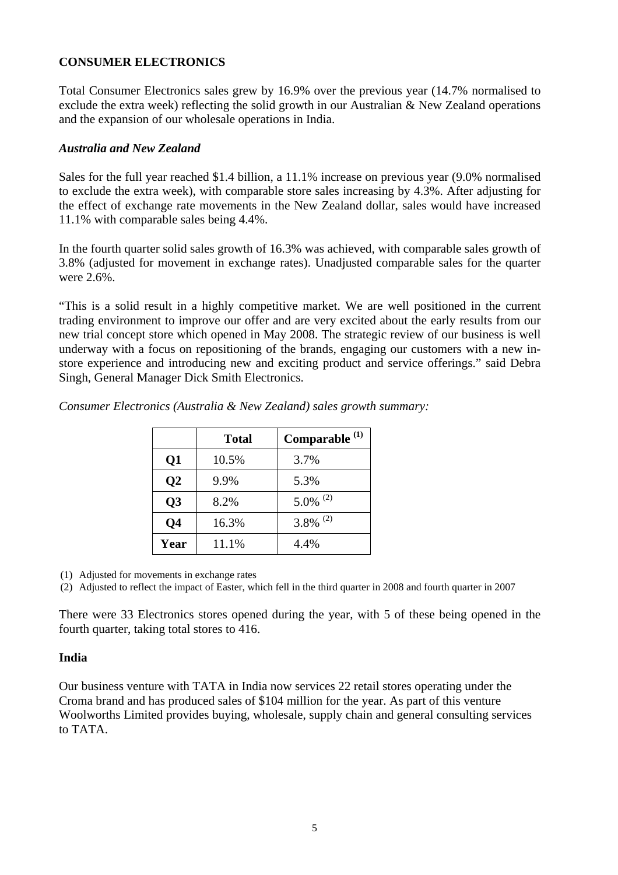#### **CONSUMER ELECTRONICS**

Total Consumer Electronics sales grew by 16.9% over the previous year (14.7% normalised to exclude the extra week) reflecting the solid growth in our Australian & New Zealand operations and the expansion of our wholesale operations in India.

#### *Australia and New Zealand*

Sales for the full year reached \$1.4 billion, a 11.1% increase on previous year (9.0% normalised to exclude the extra week), with comparable store sales increasing by 4.3%. After adjusting for the effect of exchange rate movements in the New Zealand dollar, sales would have increased 11.1% with comparable sales being 4.4%.

In the fourth quarter solid sales growth of 16.3% was achieved, with comparable sales growth of 3.8% (adjusted for movement in exchange rates). Unadjusted comparable sales for the quarter were 2.6%.

"This is a solid result in a highly competitive market. We are well positioned in the current trading environment to improve our offer and are very excited about the early results from our new trial concept store which opened in May 2008. The strategic review of our business is well underway with a focus on repositioning of the brands, engaging our customers with a new instore experience and introducing new and exciting product and service offerings." said Debra Singh, General Manager Dick Smith Electronics.

|                 | <b>Total</b> | Comparable <sup>(1)</sup> |
|-----------------|--------------|---------------------------|
| $\overline{Q1}$ | 10.5%        | 3.7%                      |
| Q <sub>2</sub>  | 9.9%         | 5.3%                      |
| Q3              | 8.2%         | $5.0\%$ <sup>(2)</sup>    |
| Q <sub>4</sub>  | 16.3%        | $3.8\%$ <sup>(2)</sup>    |
| Year            | 11.1%        | 4.4%                      |

*Consumer Electronics (Australia & New Zealand) sales growth summary:* 

(1) Adjusted for movements in exchange rates

(2) Adjusted to reflect the impact of Easter, which fell in the third quarter in 2008 and fourth quarter in 2007

There were 33 Electronics stores opened during the year, with 5 of these being opened in the fourth quarter, taking total stores to 416.

#### **India**

Our business venture with TATA in India now services 22 retail stores operating under the Croma brand and has produced sales of \$104 million for the year. As part of this venture Woolworths Limited provides buying, wholesale, supply chain and general consulting services to TATA.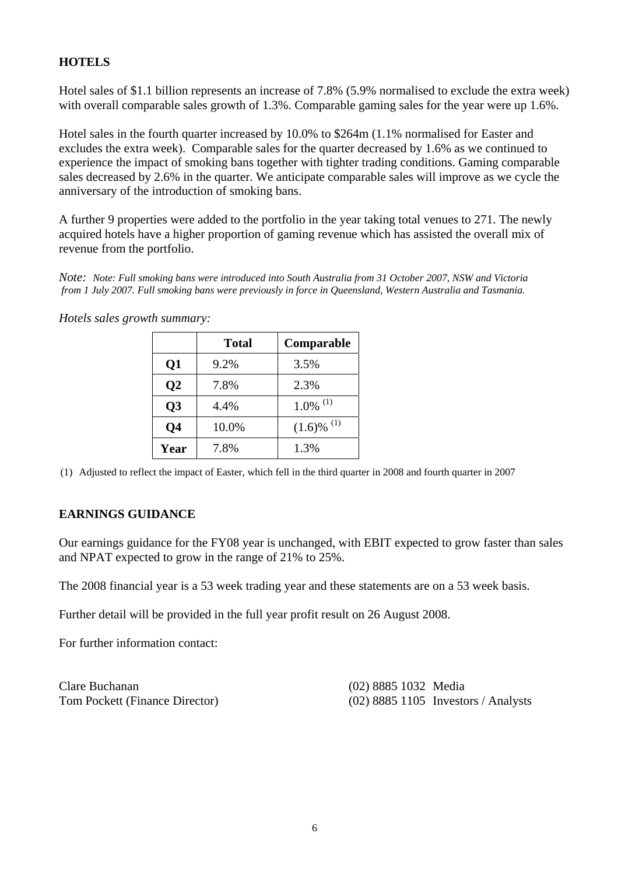### **HOTELS**

Hotel sales of \$1.1 billion represents an increase of 7.8% (5.9% normalised to exclude the extra week) with overall comparable sales growth of 1.3%. Comparable gaming sales for the year were up 1.6%.

Hotel sales in the fourth quarter increased by 10.0% to \$264m (1.1% normalised for Easter and excludes the extra week). Comparable sales for the quarter decreased by 1.6% as we continued to experience the impact of smoking bans together with tighter trading conditions. Gaming comparable sales decreased by 2.6% in the quarter. We anticipate comparable sales will improve as we cycle the anniversary of the introduction of smoking bans.

A further 9 properties were added to the portfolio in the year taking total venues to 271. The newly acquired hotels have a higher proportion of gaming revenue which has assisted the overall mix of revenue from the portfolio.

*Note: Note: Full smoking bans were introduced into South Australia from 31 October 2007, NSW and Victoria from 1 July 2007. Full smoking bans were previously in force in Queensland, Western Australia and Tasmania.* 

|                 | <b>Total</b> | Comparable             |
|-----------------|--------------|------------------------|
| Q1              | 9.2%         | 3.5%                   |
| $\overline{O2}$ | 7.8%         | 2.3%                   |
| Q <sub>3</sub>  | 4.4%         | $1.0\%$ <sup>(1)</sup> |
| <b>Q4</b>       | 10.0%        | $(1.6)$ % $^{(1)}$     |
| Year            | 7.8%         | 1.3%                   |

*Hotels sales growth summary:*

(1) Adjusted to reflect the impact of Easter, which fell in the third quarter in 2008 and fourth quarter in 2007

#### **EARNINGS GUIDANCE**

Our earnings guidance for the FY08 year is unchanged, with EBIT expected to grow faster than sales and NPAT expected to grow in the range of 21% to 25%.

The 2008 financial year is a 53 week trading year and these statements are on a 53 week basis.

Further detail will be provided in the full year profit result on 26 August 2008.

For further information contact:

| Clare Buchanan                 | (02) 8885 1032 Media |                                       |
|--------------------------------|----------------------|---------------------------------------|
| Tom Pockett (Finance Director) |                      | $(02)$ 8885 1105 Investors / Analysts |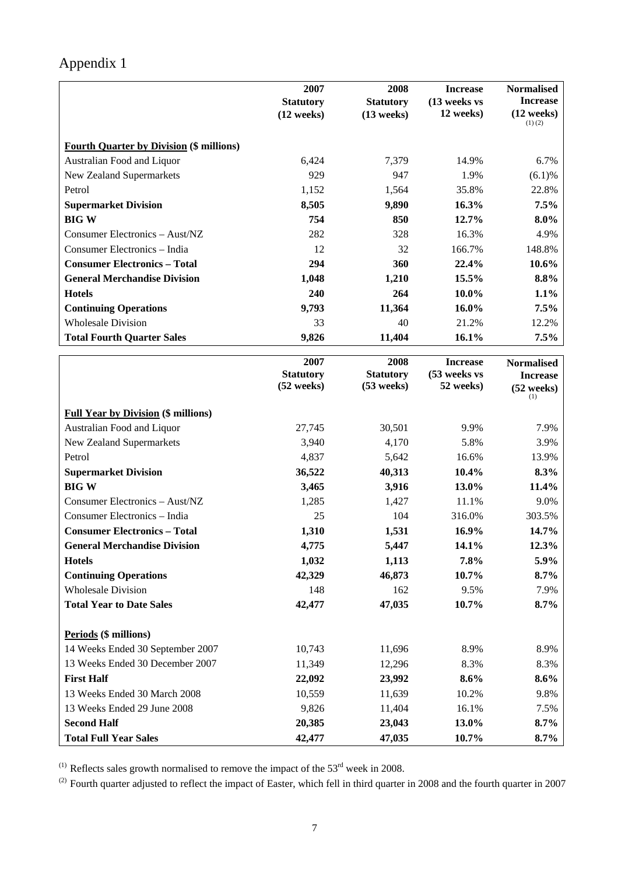# Appendix 1

| <b>Increase</b><br><b>Statutory</b><br>(13 weeks vs<br><b>Statutory</b><br>$(12$ weeks)<br>12 weeks)<br>(12 weeks)<br>$(13$ weeks)<br>$(1)$ $(2)$<br><b>Fourth Quarter by Division (\$ millions)</b><br>Australian Food and Liquor<br>6.7%<br>6,424<br>7,379<br>14.9%<br>929<br>947<br>1.9%<br>(6.1)%<br>New Zealand Supermarkets<br>1,152<br>35.8%<br>22.8%<br>Petrol<br>1,564<br><b>Supermarket Division</b><br>8,505<br>9,890<br>16.3%<br>7.5%<br><b>BIGW</b><br>754<br>12.7%<br>$8.0\%$<br>850<br>282<br>16.3%<br>Consumer Electronics - Aust/NZ<br>328<br>4.9%<br>Consumer Electronics - India<br>12<br>32<br>166.7%<br>148.8%<br><b>Consumer Electronics - Total</b><br>294<br>360<br>22.4%<br>10.6%<br><b>General Merchandise Division</b><br>1,048<br>1,210<br>15.5%<br>8.8%<br>1.1%<br><b>Hotels</b><br>240<br>264<br>10.0%<br>16.0%<br>7.5%<br><b>Continuing Operations</b><br>9,793<br>11,364<br><b>Wholesale Division</b><br>33<br>40<br>21.2%<br>12.2%<br>7.5%<br><b>Total Fourth Quarter Sales</b><br>9,826<br>11,404<br>16.1%<br>2007<br>2008<br><b>Increase</b><br><b>Normalised</b><br>(53 weeks vs<br><b>Statutory</b><br><b>Statutory</b><br><b>Increase</b><br>52 weeks)<br>$(52 \text{ weeks})$<br>$(53$ weeks)<br>(52 weeks)<br>(1)<br><b>Full Year by Division (\$ millions)</b><br>Australian Food and Liquor<br>30,501<br>27,745<br>9.9%<br>7.9%<br>3,940<br>4,170<br>5.8%<br>3.9%<br>New Zealand Supermarkets<br>Petrol<br>16.6%<br>13.9%<br>4,837<br>5,642<br>40,313<br>36,522<br>10.4%<br>8.3%<br><b>Supermarket Division</b><br><b>BIGW</b><br>3,465<br>3,916<br>13.0%<br>11.4%<br>Consumer Electronics - Aust/NZ<br>1,285<br>11.1%<br>9.0%<br>1,427<br>Consumer Electronics - India<br>25<br>104<br>316.0%<br>303.5%<br><b>Consumer Electronics - Total</b><br>16.9%<br>14.7%<br>1,310<br>1,531<br>4,775<br>5,447<br>14.1%<br>12.3%<br><b>General Merchandise Division</b><br>5.9%<br>1,032<br>1,113<br>7.8%<br><b>Hotels</b><br><b>Continuing Operations</b><br>42,329<br>46,873<br>10.7%<br>8.7%<br><b>Wholesale Division</b><br>148<br>162<br>9.5%<br>7.9%<br>47,035<br><b>Total Year to Date Sales</b><br>42,477<br>10.7%<br>$8.7\%$<br>Periods (\$ millions)<br>14 Weeks Ended 30 September 2007<br>10,743<br>11,696<br>8.9%<br>8.9%<br>13 Weeks Ended 30 December 2007<br>11,349<br>12,296<br>8.3%<br>8.3%<br><b>First Half</b><br>22,092<br>23,992<br>8.6%<br>$8.6\%$<br>13 Weeks Ended 30 March 2008<br>10,559<br>11,639<br>10.2%<br>9.8%<br>13 Weeks Ended 29 June 2008<br>9,826<br>11,404<br>16.1%<br>7.5%<br><b>Second Half</b><br>20,385<br>23,043<br>13.0%<br>8.7% |                              | 2007   | 2008   | <b>Increase</b> | <b>Normalised</b> |
|---------------------------------------------------------------------------------------------------------------------------------------------------------------------------------------------------------------------------------------------------------------------------------------------------------------------------------------------------------------------------------------------------------------------------------------------------------------------------------------------------------------------------------------------------------------------------------------------------------------------------------------------------------------------------------------------------------------------------------------------------------------------------------------------------------------------------------------------------------------------------------------------------------------------------------------------------------------------------------------------------------------------------------------------------------------------------------------------------------------------------------------------------------------------------------------------------------------------------------------------------------------------------------------------------------------------------------------------------------------------------------------------------------------------------------------------------------------------------------------------------------------------------------------------------------------------------------------------------------------------------------------------------------------------------------------------------------------------------------------------------------------------------------------------------------------------------------------------------------------------------------------------------------------------------------------------------------------------------------------------------------------------------------------------------------------------------------------------------------------------------------------------------------------------------------------------------------------------------------------------------------------------------------------------------------------------------------------------------------------------------------------------------------------------------------------------------------------------------------------------------------------------------------------------------------------------------------------------------------------|------------------------------|--------|--------|-----------------|-------------------|
|                                                                                                                                                                                                                                                                                                                                                                                                                                                                                                                                                                                                                                                                                                                                                                                                                                                                                                                                                                                                                                                                                                                                                                                                                                                                                                                                                                                                                                                                                                                                                                                                                                                                                                                                                                                                                                                                                                                                                                                                                                                                                                                                                                                                                                                                                                                                                                                                                                                                                                                                                                                                               |                              |        |        |                 |                   |
|                                                                                                                                                                                                                                                                                                                                                                                                                                                                                                                                                                                                                                                                                                                                                                                                                                                                                                                                                                                                                                                                                                                                                                                                                                                                                                                                                                                                                                                                                                                                                                                                                                                                                                                                                                                                                                                                                                                                                                                                                                                                                                                                                                                                                                                                                                                                                                                                                                                                                                                                                                                                               |                              |        |        |                 |                   |
|                                                                                                                                                                                                                                                                                                                                                                                                                                                                                                                                                                                                                                                                                                                                                                                                                                                                                                                                                                                                                                                                                                                                                                                                                                                                                                                                                                                                                                                                                                                                                                                                                                                                                                                                                                                                                                                                                                                                                                                                                                                                                                                                                                                                                                                                                                                                                                                                                                                                                                                                                                                                               |                              |        |        |                 |                   |
|                                                                                                                                                                                                                                                                                                                                                                                                                                                                                                                                                                                                                                                                                                                                                                                                                                                                                                                                                                                                                                                                                                                                                                                                                                                                                                                                                                                                                                                                                                                                                                                                                                                                                                                                                                                                                                                                                                                                                                                                                                                                                                                                                                                                                                                                                                                                                                                                                                                                                                                                                                                                               |                              |        |        |                 |                   |
|                                                                                                                                                                                                                                                                                                                                                                                                                                                                                                                                                                                                                                                                                                                                                                                                                                                                                                                                                                                                                                                                                                                                                                                                                                                                                                                                                                                                                                                                                                                                                                                                                                                                                                                                                                                                                                                                                                                                                                                                                                                                                                                                                                                                                                                                                                                                                                                                                                                                                                                                                                                                               |                              |        |        |                 |                   |
|                                                                                                                                                                                                                                                                                                                                                                                                                                                                                                                                                                                                                                                                                                                                                                                                                                                                                                                                                                                                                                                                                                                                                                                                                                                                                                                                                                                                                                                                                                                                                                                                                                                                                                                                                                                                                                                                                                                                                                                                                                                                                                                                                                                                                                                                                                                                                                                                                                                                                                                                                                                                               |                              |        |        |                 |                   |
|                                                                                                                                                                                                                                                                                                                                                                                                                                                                                                                                                                                                                                                                                                                                                                                                                                                                                                                                                                                                                                                                                                                                                                                                                                                                                                                                                                                                                                                                                                                                                                                                                                                                                                                                                                                                                                                                                                                                                                                                                                                                                                                                                                                                                                                                                                                                                                                                                                                                                                                                                                                                               |                              |        |        |                 |                   |
|                                                                                                                                                                                                                                                                                                                                                                                                                                                                                                                                                                                                                                                                                                                                                                                                                                                                                                                                                                                                                                                                                                                                                                                                                                                                                                                                                                                                                                                                                                                                                                                                                                                                                                                                                                                                                                                                                                                                                                                                                                                                                                                                                                                                                                                                                                                                                                                                                                                                                                                                                                                                               |                              |        |        |                 |                   |
|                                                                                                                                                                                                                                                                                                                                                                                                                                                                                                                                                                                                                                                                                                                                                                                                                                                                                                                                                                                                                                                                                                                                                                                                                                                                                                                                                                                                                                                                                                                                                                                                                                                                                                                                                                                                                                                                                                                                                                                                                                                                                                                                                                                                                                                                                                                                                                                                                                                                                                                                                                                                               |                              |        |        |                 |                   |
|                                                                                                                                                                                                                                                                                                                                                                                                                                                                                                                                                                                                                                                                                                                                                                                                                                                                                                                                                                                                                                                                                                                                                                                                                                                                                                                                                                                                                                                                                                                                                                                                                                                                                                                                                                                                                                                                                                                                                                                                                                                                                                                                                                                                                                                                                                                                                                                                                                                                                                                                                                                                               |                              |        |        |                 |                   |
|                                                                                                                                                                                                                                                                                                                                                                                                                                                                                                                                                                                                                                                                                                                                                                                                                                                                                                                                                                                                                                                                                                                                                                                                                                                                                                                                                                                                                                                                                                                                                                                                                                                                                                                                                                                                                                                                                                                                                                                                                                                                                                                                                                                                                                                                                                                                                                                                                                                                                                                                                                                                               |                              |        |        |                 |                   |
|                                                                                                                                                                                                                                                                                                                                                                                                                                                                                                                                                                                                                                                                                                                                                                                                                                                                                                                                                                                                                                                                                                                                                                                                                                                                                                                                                                                                                                                                                                                                                                                                                                                                                                                                                                                                                                                                                                                                                                                                                                                                                                                                                                                                                                                                                                                                                                                                                                                                                                                                                                                                               |                              |        |        |                 |                   |
|                                                                                                                                                                                                                                                                                                                                                                                                                                                                                                                                                                                                                                                                                                                                                                                                                                                                                                                                                                                                                                                                                                                                                                                                                                                                                                                                                                                                                                                                                                                                                                                                                                                                                                                                                                                                                                                                                                                                                                                                                                                                                                                                                                                                                                                                                                                                                                                                                                                                                                                                                                                                               |                              |        |        |                 |                   |
|                                                                                                                                                                                                                                                                                                                                                                                                                                                                                                                                                                                                                                                                                                                                                                                                                                                                                                                                                                                                                                                                                                                                                                                                                                                                                                                                                                                                                                                                                                                                                                                                                                                                                                                                                                                                                                                                                                                                                                                                                                                                                                                                                                                                                                                                                                                                                                                                                                                                                                                                                                                                               |                              |        |        |                 |                   |
|                                                                                                                                                                                                                                                                                                                                                                                                                                                                                                                                                                                                                                                                                                                                                                                                                                                                                                                                                                                                                                                                                                                                                                                                                                                                                                                                                                                                                                                                                                                                                                                                                                                                                                                                                                                                                                                                                                                                                                                                                                                                                                                                                                                                                                                                                                                                                                                                                                                                                                                                                                                                               |                              |        |        |                 |                   |
|                                                                                                                                                                                                                                                                                                                                                                                                                                                                                                                                                                                                                                                                                                                                                                                                                                                                                                                                                                                                                                                                                                                                                                                                                                                                                                                                                                                                                                                                                                                                                                                                                                                                                                                                                                                                                                                                                                                                                                                                                                                                                                                                                                                                                                                                                                                                                                                                                                                                                                                                                                                                               |                              |        |        |                 |                   |
|                                                                                                                                                                                                                                                                                                                                                                                                                                                                                                                                                                                                                                                                                                                                                                                                                                                                                                                                                                                                                                                                                                                                                                                                                                                                                                                                                                                                                                                                                                                                                                                                                                                                                                                                                                                                                                                                                                                                                                                                                                                                                                                                                                                                                                                                                                                                                                                                                                                                                                                                                                                                               |                              |        |        |                 |                   |
|                                                                                                                                                                                                                                                                                                                                                                                                                                                                                                                                                                                                                                                                                                                                                                                                                                                                                                                                                                                                                                                                                                                                                                                                                                                                                                                                                                                                                                                                                                                                                                                                                                                                                                                                                                                                                                                                                                                                                                                                                                                                                                                                                                                                                                                                                                                                                                                                                                                                                                                                                                                                               |                              |        |        |                 |                   |
|                                                                                                                                                                                                                                                                                                                                                                                                                                                                                                                                                                                                                                                                                                                                                                                                                                                                                                                                                                                                                                                                                                                                                                                                                                                                                                                                                                                                                                                                                                                                                                                                                                                                                                                                                                                                                                                                                                                                                                                                                                                                                                                                                                                                                                                                                                                                                                                                                                                                                                                                                                                                               |                              |        |        |                 |                   |
|                                                                                                                                                                                                                                                                                                                                                                                                                                                                                                                                                                                                                                                                                                                                                                                                                                                                                                                                                                                                                                                                                                                                                                                                                                                                                                                                                                                                                                                                                                                                                                                                                                                                                                                                                                                                                                                                                                                                                                                                                                                                                                                                                                                                                                                                                                                                                                                                                                                                                                                                                                                                               |                              |        |        |                 |                   |
|                                                                                                                                                                                                                                                                                                                                                                                                                                                                                                                                                                                                                                                                                                                                                                                                                                                                                                                                                                                                                                                                                                                                                                                                                                                                                                                                                                                                                                                                                                                                                                                                                                                                                                                                                                                                                                                                                                                                                                                                                                                                                                                                                                                                                                                                                                                                                                                                                                                                                                                                                                                                               |                              |        |        |                 |                   |
|                                                                                                                                                                                                                                                                                                                                                                                                                                                                                                                                                                                                                                                                                                                                                                                                                                                                                                                                                                                                                                                                                                                                                                                                                                                                                                                                                                                                                                                                                                                                                                                                                                                                                                                                                                                                                                                                                                                                                                                                                                                                                                                                                                                                                                                                                                                                                                                                                                                                                                                                                                                                               |                              |        |        |                 |                   |
|                                                                                                                                                                                                                                                                                                                                                                                                                                                                                                                                                                                                                                                                                                                                                                                                                                                                                                                                                                                                                                                                                                                                                                                                                                                                                                                                                                                                                                                                                                                                                                                                                                                                                                                                                                                                                                                                                                                                                                                                                                                                                                                                                                                                                                                                                                                                                                                                                                                                                                                                                                                                               |                              |        |        |                 |                   |
|                                                                                                                                                                                                                                                                                                                                                                                                                                                                                                                                                                                                                                                                                                                                                                                                                                                                                                                                                                                                                                                                                                                                                                                                                                                                                                                                                                                                                                                                                                                                                                                                                                                                                                                                                                                                                                                                                                                                                                                                                                                                                                                                                                                                                                                                                                                                                                                                                                                                                                                                                                                                               |                              |        |        |                 |                   |
|                                                                                                                                                                                                                                                                                                                                                                                                                                                                                                                                                                                                                                                                                                                                                                                                                                                                                                                                                                                                                                                                                                                                                                                                                                                                                                                                                                                                                                                                                                                                                                                                                                                                                                                                                                                                                                                                                                                                                                                                                                                                                                                                                                                                                                                                                                                                                                                                                                                                                                                                                                                                               |                              |        |        |                 |                   |
|                                                                                                                                                                                                                                                                                                                                                                                                                                                                                                                                                                                                                                                                                                                                                                                                                                                                                                                                                                                                                                                                                                                                                                                                                                                                                                                                                                                                                                                                                                                                                                                                                                                                                                                                                                                                                                                                                                                                                                                                                                                                                                                                                                                                                                                                                                                                                                                                                                                                                                                                                                                                               |                              |        |        |                 |                   |
|                                                                                                                                                                                                                                                                                                                                                                                                                                                                                                                                                                                                                                                                                                                                                                                                                                                                                                                                                                                                                                                                                                                                                                                                                                                                                                                                                                                                                                                                                                                                                                                                                                                                                                                                                                                                                                                                                                                                                                                                                                                                                                                                                                                                                                                                                                                                                                                                                                                                                                                                                                                                               |                              |        |        |                 |                   |
|                                                                                                                                                                                                                                                                                                                                                                                                                                                                                                                                                                                                                                                                                                                                                                                                                                                                                                                                                                                                                                                                                                                                                                                                                                                                                                                                                                                                                                                                                                                                                                                                                                                                                                                                                                                                                                                                                                                                                                                                                                                                                                                                                                                                                                                                                                                                                                                                                                                                                                                                                                                                               |                              |        |        |                 |                   |
|                                                                                                                                                                                                                                                                                                                                                                                                                                                                                                                                                                                                                                                                                                                                                                                                                                                                                                                                                                                                                                                                                                                                                                                                                                                                                                                                                                                                                                                                                                                                                                                                                                                                                                                                                                                                                                                                                                                                                                                                                                                                                                                                                                                                                                                                                                                                                                                                                                                                                                                                                                                                               |                              |        |        |                 |                   |
|                                                                                                                                                                                                                                                                                                                                                                                                                                                                                                                                                                                                                                                                                                                                                                                                                                                                                                                                                                                                                                                                                                                                                                                                                                                                                                                                                                                                                                                                                                                                                                                                                                                                                                                                                                                                                                                                                                                                                                                                                                                                                                                                                                                                                                                                                                                                                                                                                                                                                                                                                                                                               |                              |        |        |                 |                   |
|                                                                                                                                                                                                                                                                                                                                                                                                                                                                                                                                                                                                                                                                                                                                                                                                                                                                                                                                                                                                                                                                                                                                                                                                                                                                                                                                                                                                                                                                                                                                                                                                                                                                                                                                                                                                                                                                                                                                                                                                                                                                                                                                                                                                                                                                                                                                                                                                                                                                                                                                                                                                               |                              |        |        |                 |                   |
|                                                                                                                                                                                                                                                                                                                                                                                                                                                                                                                                                                                                                                                                                                                                                                                                                                                                                                                                                                                                                                                                                                                                                                                                                                                                                                                                                                                                                                                                                                                                                                                                                                                                                                                                                                                                                                                                                                                                                                                                                                                                                                                                                                                                                                                                                                                                                                                                                                                                                                                                                                                                               |                              |        |        |                 |                   |
|                                                                                                                                                                                                                                                                                                                                                                                                                                                                                                                                                                                                                                                                                                                                                                                                                                                                                                                                                                                                                                                                                                                                                                                                                                                                                                                                                                                                                                                                                                                                                                                                                                                                                                                                                                                                                                                                                                                                                                                                                                                                                                                                                                                                                                                                                                                                                                                                                                                                                                                                                                                                               |                              |        |        |                 |                   |
|                                                                                                                                                                                                                                                                                                                                                                                                                                                                                                                                                                                                                                                                                                                                                                                                                                                                                                                                                                                                                                                                                                                                                                                                                                                                                                                                                                                                                                                                                                                                                                                                                                                                                                                                                                                                                                                                                                                                                                                                                                                                                                                                                                                                                                                                                                                                                                                                                                                                                                                                                                                                               |                              |        |        |                 |                   |
|                                                                                                                                                                                                                                                                                                                                                                                                                                                                                                                                                                                                                                                                                                                                                                                                                                                                                                                                                                                                                                                                                                                                                                                                                                                                                                                                                                                                                                                                                                                                                                                                                                                                                                                                                                                                                                                                                                                                                                                                                                                                                                                                                                                                                                                                                                                                                                                                                                                                                                                                                                                                               |                              |        |        |                 |                   |
|                                                                                                                                                                                                                                                                                                                                                                                                                                                                                                                                                                                                                                                                                                                                                                                                                                                                                                                                                                                                                                                                                                                                                                                                                                                                                                                                                                                                                                                                                                                                                                                                                                                                                                                                                                                                                                                                                                                                                                                                                                                                                                                                                                                                                                                                                                                                                                                                                                                                                                                                                                                                               |                              |        |        |                 |                   |
|                                                                                                                                                                                                                                                                                                                                                                                                                                                                                                                                                                                                                                                                                                                                                                                                                                                                                                                                                                                                                                                                                                                                                                                                                                                                                                                                                                                                                                                                                                                                                                                                                                                                                                                                                                                                                                                                                                                                                                                                                                                                                                                                                                                                                                                                                                                                                                                                                                                                                                                                                                                                               |                              |        |        |                 |                   |
|                                                                                                                                                                                                                                                                                                                                                                                                                                                                                                                                                                                                                                                                                                                                                                                                                                                                                                                                                                                                                                                                                                                                                                                                                                                                                                                                                                                                                                                                                                                                                                                                                                                                                                                                                                                                                                                                                                                                                                                                                                                                                                                                                                                                                                                                                                                                                                                                                                                                                                                                                                                                               |                              |        |        |                 |                   |
|                                                                                                                                                                                                                                                                                                                                                                                                                                                                                                                                                                                                                                                                                                                                                                                                                                                                                                                                                                                                                                                                                                                                                                                                                                                                                                                                                                                                                                                                                                                                                                                                                                                                                                                                                                                                                                                                                                                                                                                                                                                                                                                                                                                                                                                                                                                                                                                                                                                                                                                                                                                                               |                              |        |        |                 |                   |
|                                                                                                                                                                                                                                                                                                                                                                                                                                                                                                                                                                                                                                                                                                                                                                                                                                                                                                                                                                                                                                                                                                                                                                                                                                                                                                                                                                                                                                                                                                                                                                                                                                                                                                                                                                                                                                                                                                                                                                                                                                                                                                                                                                                                                                                                                                                                                                                                                                                                                                                                                                                                               |                              |        |        |                 |                   |
|                                                                                                                                                                                                                                                                                                                                                                                                                                                                                                                                                                                                                                                                                                                                                                                                                                                                                                                                                                                                                                                                                                                                                                                                                                                                                                                                                                                                                                                                                                                                                                                                                                                                                                                                                                                                                                                                                                                                                                                                                                                                                                                                                                                                                                                                                                                                                                                                                                                                                                                                                                                                               |                              |        |        |                 |                   |
|                                                                                                                                                                                                                                                                                                                                                                                                                                                                                                                                                                                                                                                                                                                                                                                                                                                                                                                                                                                                                                                                                                                                                                                                                                                                                                                                                                                                                                                                                                                                                                                                                                                                                                                                                                                                                                                                                                                                                                                                                                                                                                                                                                                                                                                                                                                                                                                                                                                                                                                                                                                                               | <b>Total Full Year Sales</b> | 42,477 | 47,035 | 10.7%           | $8.7\%$           |

 $(1)$  Reflects sales growth normalised to remove the impact of the 53<sup>rd</sup> week in 2008.

(2) Fourth quarter adjusted to reflect the impact of Easter, which fell in third quarter in 2008 and the fourth quarter in 2007